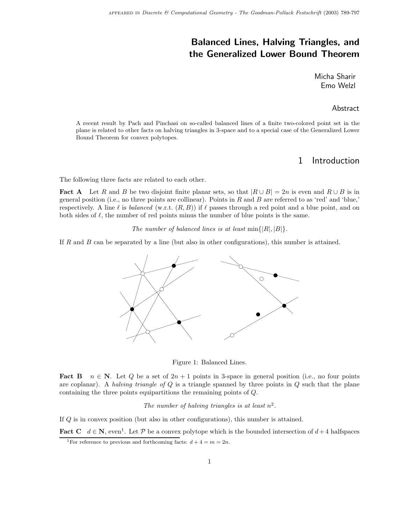# Balanced Lines, Halving Triangles, and the Generalized Lower Bound Theorem

Micha Sharir Emo Welzl

#### Abstract

A recent result by Pach and Pinchasi on so-called balanced lines of a finite two-colored point set in the plane is related to other facts on halving triangles in 3-space and to a special case of the Generalized Lower Bound Theorem for convex polytopes.

#### 1 Introduction

The following three facts are related to each other.

**Fact A** Let R and B be two disjoint finite planar sets, so that  $|R \cup B| = 2n$  is even and  $R \cup B$  is in general position (i.e., no three points are collinear). Points in  $R$  and  $B$  are referred to as 'red' and 'blue,' respectively. A line  $\ell$  is *balanced* (w.r.t.  $(R, B)$ ) if  $\ell$  passes through a red point and a blue point, and on both sides of  $\ell$ , the number of red points minus the number of blue points is the same.

The number of balanced lines is at least  $\min\{|R|, |B|\}.$ 

If R and B can be separated by a line (but also in other configurations), this number is attained.



Figure 1: Balanced Lines.

Fact B  $n \in \mathbb{N}$ . Let Q be a set of  $2n + 1$  points in 3-space in general position (i.e., no four points are coplanar). A *halving triangle of Q* is a triangle spanned by three points in  $Q$  such that the plane containing the three points equipartitions the remaining points of Q.

The number of halving triangles is at least  $n^2$ .

If Q is in convex position (but also in other configurations), this number is attained.

**Fact C**  $d \in \mathbb{N}$ , even<sup>1</sup>. Let P be a convex polytope which is the bounded intersection of  $d+4$  halfspaces

<sup>&</sup>lt;sup>1</sup>For reference to previous and forthcoming facts:  $d + 4 = m = 2n$ .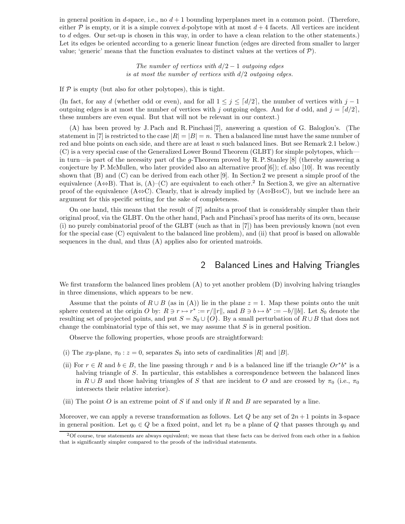in general position in d-space, i.e., no  $d+1$  bounding hyperplanes meet in a common point. (Therefore, either  $\mathcal P$  is empty, or it is a simple convex d-polytope with at most  $d+4$  facets. All vertices are incident to d edges. Our set-up is chosen in this way, in order to have a clean relation to the other statements.) Let its edges be oriented according to a generic linear function (edges are directed from smaller to larger value; 'generic' means that the function evaluates to distinct values at the vertices of  $P$ ).

> The number of vertices with  $d/2 - 1$  outgoing edges is at most the number of vertices with  $d/2$  outgoing edges.

If  $P$  is empty (but also for other polytopes), this is tight.

(In fact, for any d (whether odd or even), and for all  $1 \leq j \leq \lceil d/2 \rceil$ , the number of vertices with  $j-1$ outgoing edges is at most the number of vertices with j outgoing edges. And for d odd, and  $j = \lfloor d/2 \rfloor$ , these numbers are even equal. But that will not be relevant in our context.)

(A) has been proved by J. Pach and R. Pinchasi [7], answering a question of G. Baloglou's. (The statement in [7] is restricted to the case  $|R| = |B| = n$ . Then a balanced line must have the same number of red and blue points on each side, and there are at least  $n$  such balanced lines. But see Remark 2.1 below.) (C) is a very special case of the Generalized Lower Bound Theorem (GLBT) for simple polytopes, which in turn—is part of the necessity part of the g-Theorem proved by R. P. Stanley [8] (thereby answering a conjecture by P. McMullen, who later provided also an alternative proof  $[6]$ ; cf. also [10]. It was recently shown that (B) and (C) can be derived from each other [9]. In Section 2 we present a simple proof of the equivalence  $(A\oplus B)$ . That is,  $(A)-(C)$  are equivalent to each other.<sup>2</sup> In Section 3, we give an alternative proof of the equivalence (A⇔C). Clearly, that is already implied by  $(A \Leftrightarrow B \Leftrightarrow C)$ , but we include here an argument for this specific setting for the sake of completeness.

On one hand, this means that the result of [7] admits a proof that is considerably simpler than their original proof, via the GLBT. On the other hand, Pach and Pinchasi's proof has merits of its own, because (i) no purely combinatorial proof of the GLBT (such as that in [7]) has been previously known (not even for the special case (C) equivalent to the balanced line problem), and (ii) that proof is based on allowable sequences in the dual, and thus (A) applies also for oriented matroids.

### 2 Balanced Lines and Halving Triangles

We first transform the balanced lines problem (A) to yet another problem (D) involving halving triangles in three dimensions, which appears to be new.

Assume that the points of  $R \cup B$  (as in (A)) lie in the plane  $z = 1$ . Map these points onto the unit sphere centered at the origin O by:  $R \ni r \mapsto r^* := r/||r||$ , and  $B \ni b \mapsto b^* := -b/||b||$ . Let  $S_0$  denote the resulting set of projected points, and put  $S = S_0 \cup \{O\}$ . By a small perturbation of  $R \cup B$  that does not change the combinatorial type of this set, we may assume that  $S$  is in general position.

Observe the following properties, whose proofs are straightforward:

- (i) The xy-plane,  $\pi_0 : z = 0$ , separates  $S_0$  into sets of cardinalities |R| and |B|.
- (ii) For  $r \in R$  and  $b \in B$ , the line passing through r and b is a balanced line iff the triangle  $Or^*b^*$  is a halving triangle of S. In particular, this establishes a correspondence between the balanced lines in  $R \cup B$  and those halving triangles of S that are incident to O and are crossed by  $\pi_0$  (i.e.,  $\pi_0$ intersects their relative interior).
- (iii) The point O is an extreme point of S if and only if R and B are separated by a line.

Moreover, we can apply a reverse transformation as follows. Let  $Q$  be any set of  $2n+1$  points in 3-space in general position. Let  $q_0 \in Q$  be a fixed point, and let  $\pi_0$  be a plane of Q that passes through  $q_0$  and

<sup>2</sup>Of course, true statements are always equivalent; we mean that these facts can be derived from each other in a fashion that is significantly simpler compared to the proofs of the individual statements.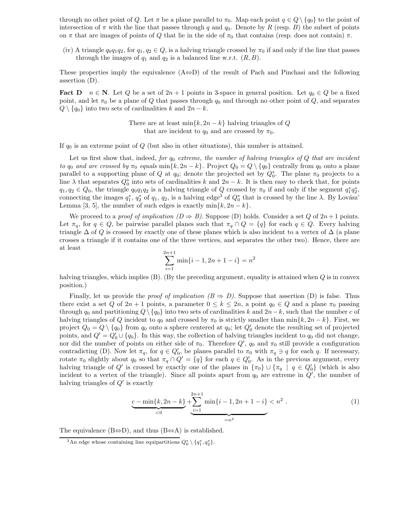through no other point of Q. Let  $\pi$  be a plane parallel to  $\pi_0$ . Map each point  $q \in Q \setminus \{q_0\}$  to the point of intersection of  $\pi$  with the line that passes through q and  $q_0$ . Denote by R (resp. B) the subset of points on  $\pi$  that are images of points of Q that lie in the side of  $\pi_0$  that contains (resp. does not contain)  $\pi$ .

(iv) A triangle  $q_0q_1q_2$ , for  $q_1, q_2 \in Q$ , is a halving triangle crossed by  $\pi_0$  if and only if the line that passes through the images of  $q_1$  and  $q_2$  is a balanced line w.r.t.  $(R, B)$ .

These properties imply the equivalence  $(A \Leftrightarrow D)$  of the result of Pach and Pinchasi and the following assertion (D).

**Fact D**  $n \in \mathbb{N}$ . Let Q be a set of  $2n + 1$  points in 3-space in general position. Let  $q_0 \in Q$  be a fixed point, and let  $\pi_0$  be a plane of Q that passes through  $q_0$  and through no other point of Q, and separates  $Q \setminus \{q_0\}$  into two sets of cardinalities k and  $2n - k$ .

> There are at least min $\{k, 2n - k\}$  halving triangles of Q that are incident to  $q_0$  and are crossed by  $\pi_0$ .

If  $q_0$  is an extreme point of Q (but also in other situations), this number is attained.

Let us first show that, indeed, for  $q_0$  extreme, the number of halving triangles of Q that are incident to q<sub>0</sub> and are crossed by  $\pi_0$  equals min $\{k, 2n - k\}$ . Project  $Q_0 = Q \setminus \{q_0\}$  centrally from  $q_0$  onto a plane parallel to a supporting plane of Q at  $q_0$ ; denote the projected set by  $Q_0^*$ . The plane  $\pi_0$  projects to a line  $\lambda$  that separates  $Q_0^*$  into sets of cardinalities k and  $2n - k$ . It is then easy to check that, for points  $q_1, q_2 \in Q_0$ , the triangle  $q_0q_1q_2$  is a halving triangle of Q crossed by  $\pi_0$  if and only if the segment  $q_1^*q_2^*$ , connecting the images  $q_1^*$ ,  $q_2^*$  of  $q_1$ ,  $q_2$ , is a halving edge<sup>3</sup> of  $Q_0^*$  that is crossed by the line  $\lambda$ . By Lovász' Lemma [3, 5], the number of such edges is exactly  $\min\{k, 2n - k\}.$ 

We proceed to a *proof of implication*  $(D \Rightarrow B)$ . Suppose (D) holds. Consider a set Q of  $2n+1$  points. Let  $\pi_q$ , for  $q \in Q$ , be pairwise parallel planes such that  $\pi_q \cap Q = \{q\}$  for each  $q \in Q$ . Every halving triangle  $\Delta$  of Q is crossed by exactly one of these planes which is also incident to a vertex of  $\Delta$  (a plane crosses a triangle if it contains one of the three vertices, and separates the other two). Hence, there are at least

$$
\sum_{i=1}^{2n+1} \min\{i-1, 2n+1-i\} = n^2
$$

halving triangles, which implies  $(B)$ . (By the preceding argument, equality is attained when Q is in convex position.)

Finally, let us provide the proof of implication  $(B \Rightarrow D)$ . Suppose that assertion (D) is false. Thus there exist a set Q of  $2n + 1$  points, a parameter  $0 \leq k \leq 2n$ , a point  $q_0 \in Q$  and a plane  $\pi_0$  passing through q<sub>0</sub> and partitioning  $Q \ \{q_0\}$  into two sets of cardinalities k and  $2n-k$ , such that the number c of halving triangles of Q incident to  $q_0$  and crossed by  $\pi_0$  is strictly smaller than min{k, 2n – k}. First, we project  $Q_0 = Q \setminus \{q_0\}$  from  $q_0$  onto a sphere centered at  $q_0$ ; let  $Q'_0$  denote the resulting set of projected points, and  $Q' = Q'_0 \cup \{q_0\}$ . In this way, the collection of halving triangles incident to  $q_0$  did not change, nor did the number of points on either side of  $\pi_0$ . Therefore  $Q'$ ,  $q_0$  and  $\pi_0$  still provide a configuration contradicting (D). Now let  $\pi_q$ , for  $q \in Q'_0$ , be planes parallel to  $\pi_0$  with  $\pi_q \ni q$  for each q. If necessary, rotate  $\pi_0$  slightly about  $q_0$  so that  $\pi_q \cap Q' = \{q\}$  for each  $q \in Q'_0$ . As in the previous argument, every halving triangle of Q' is crossed by exactly one of the planes in  $\{\pi_0\} \cup \{\pi_q \mid q \in Q'_0\}$  (which is also incident to a vertex of the triangle). Since all points apart from  $q_0$  are extreme in  $Q'$ , the number of halving triangles of  $Q'$  is exactly

$$
\underbrace{c-\min\{k,2n-k\}}_{<0} + \underbrace{\sum_{i=1}^{2n+1} \min\{i-1,2n+1-i\}}_{=:n^2} < n^2 \tag{1}
$$

The equivalence  $(B \Leftrightarrow D)$ , and thus  $(B \Leftrightarrow A)$  is established.

<sup>&</sup>lt;sup>3</sup>An edge whose containing line equipartitions  $Q_0^* \setminus \{q_1^*, q_2^*\}.$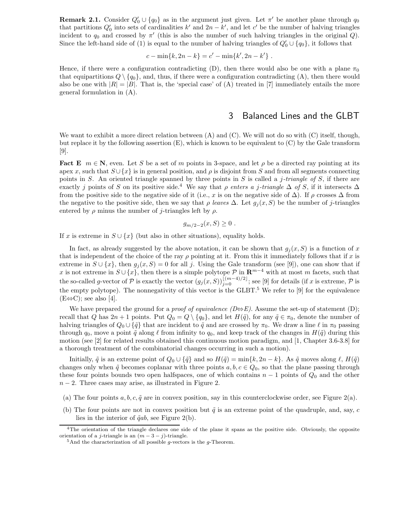**Remark 2.1.** Consider  $Q'_0 \cup \{q_0\}$  as in the argument just given. Let  $\pi'$  be another plane through  $q_0$ that partitions  $Q'_0$  into sets of cardinalities k' and  $2n - k'$ , and let c' be the number of halving triangles incident to  $q_0$  and crossed by  $\pi'$  (this is also the number of such halving triangles in the original Q). Since the left-hand side of (1) is equal to the number of halving triangles of  $Q'_0 \cup \{q_0\}$ , it follows that

$$
c - \min\{k, 2n - k\} = c' - \min\{k', 2n - k'\} .
$$

Hence, if there were a configuration contradicting (D), then there would also be one with a plane  $\pi_0$ that equipartitions  $Q \setminus \{q_0\}$ , and, thus, if there were a configuration contradicting (A), then there would also be one with  $|R| = |B|$ . That is, the 'special case' of (A) treated in [7] immediately entails the more general formulation in (A).

#### 3 Balanced Lines and the GLBT

We want to exhibit a more direct relation between  $(A)$  and  $(C)$ . We will not do so with  $(C)$  itself, though, but replace it by the following assertion  $(E)$ , which is known to be equivalent to  $(C)$  by the Gale transform [9].

Fact E  $m \in \mathbb{N}$ , even. Let S be a set of m points in 3-space, and let  $\rho$  be a directed ray pointing at its apex x, such that  $S \cup \{x\}$  is in general position, and  $\rho$  is disjoint from S and from all segments connecting points in S. An oriented triangle spanned by three points in S is called a j-triangle of S, if there are exactly j points of S on its positive side.<sup>4</sup> We say that  $\rho$  enters a j-triangle  $\Delta$  of S, if it intersects  $\Delta$ from the positive side to the negative side of it (i.e., x is on the negative side of  $\Delta$ ). If  $\rho$  crosses  $\Delta$  from the negative to the positive side, then we say that  $\rho$  leaves  $\Delta$ . Let  $g_i(x, S)$  be the number of j-triangles entered by  $\rho$  minus the number of j-triangles left by  $\rho$ .

$$
g_{m/2-2}(x, S) \geq 0.
$$

If x is extreme in  $S \cup \{x\}$  (but also in other situations), equality holds.

In fact, as already suggested by the above notation, it can be shown that  $g_i(x, S)$  is a function of x that is independent of the choice of the ray  $\rho$  pointing at it. From this it immediately follows that if x is extreme in  $S \cup \{x\}$ , then  $g_i(x, S) = 0$  for all j. Using the Gale transform (see [9]), one can show that if x is not extreme in  $S \cup \{x\}$ , then there is a simple polytope P in  $\mathbb{R}^{m-4}$  with at most m facets, such that the so-called g-vector of P is exactly the vector  $(g_j(x, S))_{j=0}^{\lfloor (m-4)/2 \rfloor}$ ; see [9] for details (if x is extreme, P is the empty polytope). The nonnegativity of this vector is the  $GLBT$ <sup>5</sup>. We refer to [9] for the equivalence  $(E \Leftrightarrow C)$ ; see also [4].

We have prepared the ground for a *proof of equivalence (D* $\rightleftharpoons$ *E)*. Assume the set-up of statement (D); recall that Q has  $2n + 1$  points. Put  $Q_0 = Q \setminus \{q_0\}$ , and let  $H(\tilde{q})$ , for any  $\tilde{q} \in \pi_0$ , denote the number of halving triangles of  $Q_0 \cup \{\tilde{q}\}\$  that are incident to  $\tilde{q}$  and are crossed by  $\pi_0$ . We draw a line  $\ell$  in  $\pi_0$  passing through  $q_0$ , move a point  $\tilde{q}$  along  $\ell$  from infinity to  $q_0$ , and keep track of the changes in  $H(\tilde{q})$  during this motion (see [2] for related results obtained this continuous motion paradigm, and [1, Chapter 3.6-3.8] for a thorough treatment of the combinatorial changes occurring in such a motion).

Initially,  $\tilde{q}$  is an extreme point of  $Q_0 \cup {\tilde{q}}$  and so  $H(\tilde{q}) = \min\{k, 2n - k\}$ . As  $\tilde{q}$  moves along  $\ell$ ,  $H(\tilde{q})$ changes only when  $\tilde{q}$  becomes coplanar with three points  $a, b, c \in Q_0$ , so that the plane passing through these four points bounds two open halfspaces, one of which contains  $n-1$  points of  $Q_0$  and the other  $n-2$ . Three cases may arise, as illustrated in Figure 2.

- (a) The four points  $a, b, c, \tilde{q}$  are in convex position, say in this counterclockwise order, see Figure 2(a).
- (b) The four points are not in convex position but  $\tilde{q}$  is an extreme point of the quadruple, and, say, c lies in the interior of  $\tilde{q}ab$ , see Figure 2(b).

<sup>&</sup>lt;sup>4</sup>The orientation of the triangle declares one side of the plane it spans as the positive side. Obviously, the opposite orientation of a j-triangle is an  $(m - 3 - j)$ -triangle.<br><sup>5</sup>And the characterization of all possible q-vectors is the q-Theorem.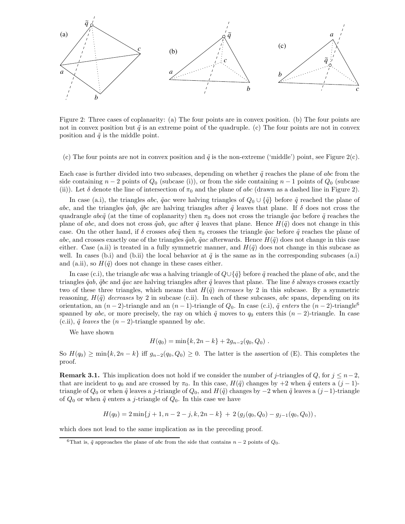

Figure 2: Three cases of coplanarity: (a) The four points are in convex position. (b) The four points are not in convex position but  $\tilde{q}$  is an extreme point of the quadruple. (c) The four points are not in convex position and  $\tilde{q}$  is the middle point.

(c) The four points are not in convex position and  $\tilde{q}$  is the non-extreme ('middle') point, see Figure 2(c).

Each case is further divided into two subcases, depending on whether  $\tilde{q}$  reaches the plane of abc from the side containing  $n-2$  points of  $Q_0$  (subcase (i)), or from the side containing  $n-1$  points of  $Q_0$  (subcase (ii)). Let  $\delta$  denote the line of intersection of  $\pi_0$  and the plane of abc (drawn as a dashed line in Figure 2).

In case (a.i), the triangles abc,  $\tilde{q}ac$  were halving triangles of  $Q_0 \cup {\tilde{q}}$  before  $\tilde{q}$  reached the plane of abc, and the triangles  $\tilde{q}ab$ ,  $\tilde{q}bc$  are halving triangles after  $\tilde{q}$  leaves that plane. If  $\delta$  does not cross the quadrangle abcq̃ (at the time of coplanarity) then  $\pi_0$  does not cross the triangle  $\tilde{q}ac$  before  $\tilde{q}$  reaches the plane of abc, and does not cross  $\tilde{q}ab$ , qac after  $\tilde{q}$  leaves that plane. Hence  $H(\tilde{q})$  does not change in this case. On the other hand, if  $\delta$  crosses abcq̃ then  $\pi_0$  crosses the triangle  $\tilde{q}ac$  before  $\tilde{q}$  reaches the plane of abc, and crosses exactly one of the triangles  $\tilde{q}ab$ ,  $\tilde{q}ac$  afterwards. Hence  $H(\tilde{q})$  does not change in this case either. Case (a.ii) is treated in a fully symmetric manner, and  $H(\tilde{q})$  does not change in this subcase as well. In cases (b.i) and (b.ii) the local behavior at  $\tilde{q}$  is the same as in the corresponding subcases (a.i) and (a.ii), so  $H(\tilde{q})$  does not change in these cases either.

In case (c.i), the triangle abc was a halving triangle of  $Q \cup \{\tilde{q}\}$  before  $\tilde{q}$  reached the plane of abc, and the triangles  $\tilde{q}ab$ ,  $\tilde{q}bc$  and  $\tilde{q}ac$  are halving triangles after  $\tilde{q}$  leaves that plane. The line  $\delta$  always crosses exactly two of these three triangles, which means that  $H(\tilde{q})$  increases by 2 in this subcase. By a symmetric reasoning,  $H(\tilde{q})$  decreases by 2 in subcase (c.ii). In each of these subcases, abc spans, depending on its orientation, an  $(n-2)$ -triangle and an  $(n-1)$ -triangle of  $Q_0$ . In case (c.i),  $\tilde{q}$  enters the  $(n-2)$ -triangle<sup>6</sup> spanned by abc, or more precisely, the ray on which  $\tilde{q}$  moves to  $q_0$  enters this  $(n-2)$ -triangle. In case (c.ii),  $\tilde{q}$  leaves the  $(n - 2)$ -triangle spanned by abc.

We have shown

$$
H(q_0) = \min\{k, 2n - k\} + 2g_{n-2}(q_0, Q_0) .
$$

So  $H(q_0) \ge \min\{k, 2n - k\}$  iff  $g_{n-2}(q_0, Q_0) \ge 0$ . The latter is the assertion of (E). This completes the proof.

**Remark 3.1.** This implication does not hold if we consider the number of j-triangles of Q, for  $j \leq n-2$ , that are incident to  $q_0$  and are crossed by  $\pi_0$ . In this case,  $H(\tilde{q})$  changes by +2 when  $\tilde{q}$  enters a  $(j-1)$ triangle of  $Q_0$  or when  $\tilde{q}$  leaves a j-triangle of  $Q_0$ , and  $H(\tilde{q})$  changes by  $-2$  when  $\tilde{q}$  leaves a  $(j-1)$ -triangle of  $Q_0$  or when  $\tilde{q}$  enters a j-triangle of  $Q_0$ . In this case we have

$$
H(q_0) = 2\min\{j+1, n-2-j, k, 2n-k\} + 2(g_j(q_0, Q_0) - g_{j-1}(q_0, Q_0)),
$$

which does not lead to the same implication as in the preceding proof.

<sup>&</sup>lt;sup>6</sup>That is,  $\tilde{q}$  approaches the plane of abc from the side that contains  $n - 2$  points of  $Q_0$ .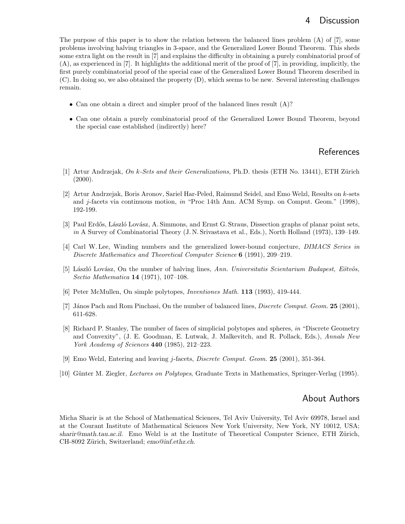The purpose of this paper is to show the relation between the balanced lines problem (A) of [7], some problems involving halving triangles in 3-space, and the Generalized Lower Bound Theorem. This sheds some extra light on the result in [7] and explains the difficulty in obtaining a purely combinatorial proof of (A), as experienced in [7]. It highlights the additional merit of the proof of [7], in providing, implicitly, the first purely combinatorial proof of the special case of the Generalized Lower Bound Theorem described in (C). In doing so, we also obtained the property (D), which seems to be new. Several interesting challenges remain.

- Can one obtain a direct and simpler proof of the balanced lines result (A)?
- Can one obtain a purely combinatorial proof of the Generalized Lower Bound Theorem, beyond the special case established (indirectly) here?

## **References**

- [1] Artur Andrzejak, On k-Sets and their Generalizations, Ph.D. thesis (ETH No. 13441), ETH Zürich  $(2000).$
- [2] Artur Andrzejak, Boris Aronov, Sariel Har-Peled, Raimund Seidel, and Emo Welzl, Results on k-sets and j-facets via continuous motion, in "Proc 14th Ann. ACM Symp. on Comput. Geom." (1998), 192-199.
- [3] Paul Erdős, László Lovász, A. Simmons, and Ernst G. Straus, Dissection graphs of planar point sets, in A Survey of Combinatorial Theory (J. N. Srivastava et al., Eds.), North Holland (1973), 139–149.
- [4] Carl W. Lee, Winding numbers and the generalized lower-bound conjecture, *DIMACS Series in* Discrete Mathematics and Theoretical Computer Science 6 (1991), 209–219.
- [5] László Lovász, On the number of halving lines, Ann. Universitatis Scientarium Budapest, Eötvös, Sectio Mathematica 14 (1971), 107–108.
- [6] Peter McMullen, On simple polytopes, Inventiones Math. 113 (1993), 419-444.
- [7] János Pach and Rom Pinchasi, On the number of balanced lines, *Discrete Comput. Geom.* 25 (2001), 611-628.
- [8] Richard P. Stanley, The number of faces of simplicial polytopes and spheres, in "Discrete Geometry and Convexity", (J. E. Goodman, E. Lutwak, J. Malkevitch, and R. Pollack, Eds.), Annals New York Academy of Sciences 440 (1985), 212–223.
- [9] Emo Welzl, Entering and leaving j-facets, Discrete Comput. Geom. 25 (2001), 351-364.
- [10] Günter M. Ziegler, *Lectures on Polytopes*, Graduate Texts in Mathematics, Springer-Verlag (1995).

### About Authors

Micha Sharir is at the School of Mathematical Sciences, Tel Aviv University, Tel Aviv 69978, Israel and at the Courant Institute of Mathematical Sciences New York University, New York, NY 10012, USA; sharir@math.tau.ac.il. Emo Welzl is at the Institute of Theoretical Computer Science, ETH Zürich, CH-8092 Zürich, Switzerland; emo@inf.ethz.ch.